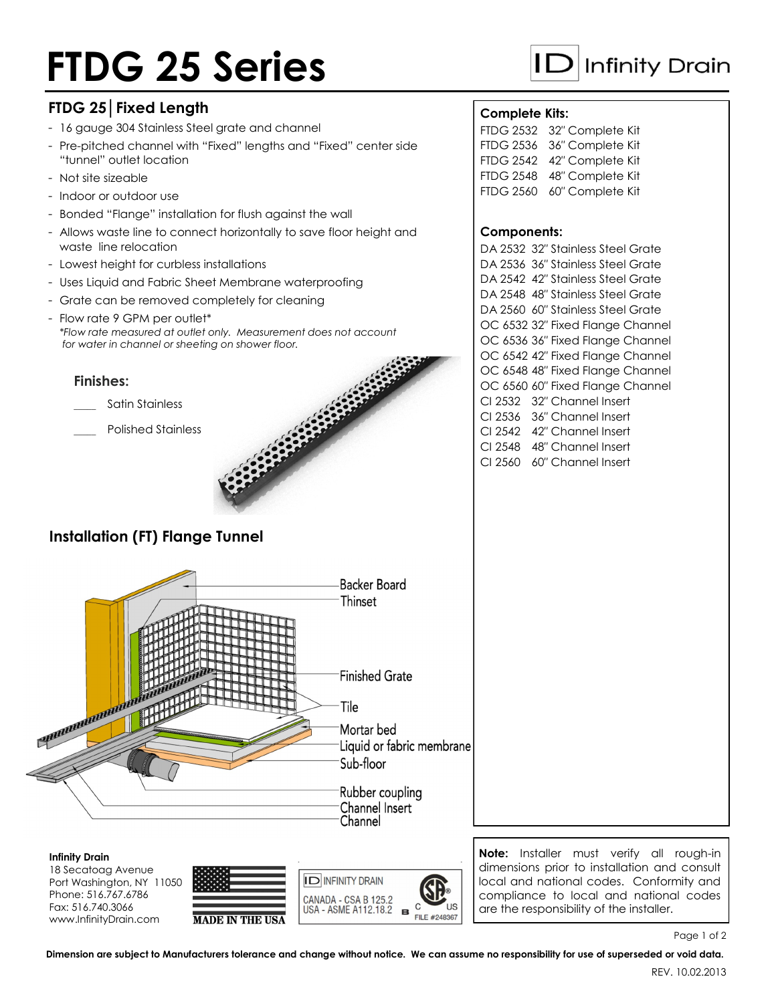# **FTDG 25 Series**

## **FTDG 25│Fixed Length**

- 16 gauge 304 Stainless Steel grate and channel
- Pre-pitched channel with "Fixed" lengths and "Fixed" center side "tunnel" outlet location
- Not site sizeable
- Indoor or outdoor use
- Bonded "Flange" installation for flush against the wall
- Allows waste line to connect horizontally to save floor height and waste line relocation
- Lowest height for curbless installations
- Uses Liquid and Fabric Sheet Membrane waterproofing
- Grate can be removed completely for cleaning
- Flow rate 9 GPM per outlet\* *\*Flow rate measured at outlet only. Measurement does not account for water in channel or sheeting on shower floor.*



Satin Stainless

Port Washington, NY 11050 Phone: 516.767.6786 Fax: 516.740.3066 www.InfinityDrain.com

\_\_\_\_\_ Polished Stainless

### **Installation (FT) Flange Tunnel**



**MADE IN THE USA** 

**Note:** Installer must verify all rough-in dimensions prior to installation and consult local and national codes. Conformity and compliance to local and national codes are the responsibility of the installer.

Page 1 of 2

**Dimension are subject to Manufacturers tolerance and change without notice. We can assume no responsibility for use of superseded or void data.** 

в

FILE #248367

CANADA - CSA B 125.2 USA - ASME A112.18.2



#### **Complete Kits:**

| FTDG 2532 32" Complete Kit |
|----------------------------|
| FTDG 2536 36" Complete Kit |
| FTDG 2542 42" Complete Kit |
| FTDG 2548 48" Complete Kit |
| FTDG 2560 60" Complete Kit |

#### **Components:**

DA 2532 32" Stainless Steel Grate DA 2536 36" Stainless Steel Grate DA 2542 42" Stainless Steel Grate DA 2548 48" Stainless Steel Grate DA 2560 60" Stainless Steel Grate OC 6532 32" Fixed Flange Channel OC 6536 36" Fixed Flange Channel OC 6542 42" Fixed Flange Channel OC 6548 48" Fixed Flange Channel OC 6560 60" Fixed Flange Channel CI 2532 32″̲Channel̲Insert CI 2536 36" Channel Insert CI 2542 42″̲Channel̲Insert CI 2548 48″̲Channel̲Insert CI 2560 60" Channel Insert